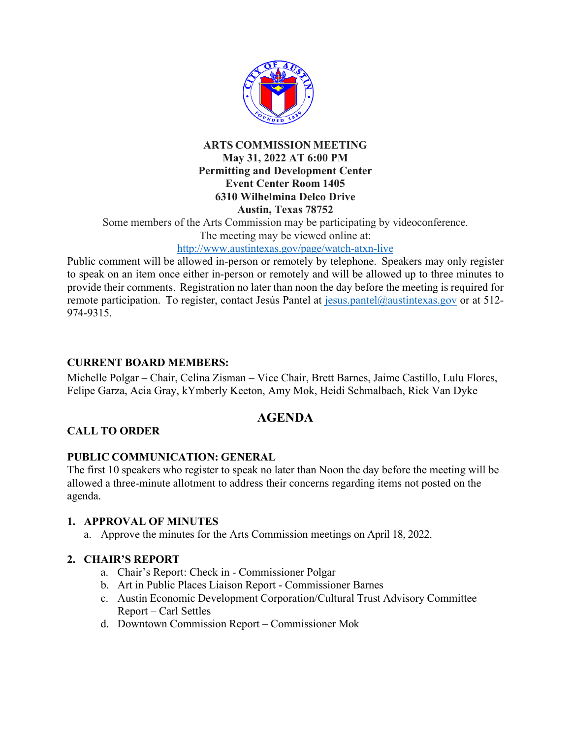

#### **ARTS COMMISSION MEETING May 31, 2022 AT 6:00 PM Permitting and Development Center Event Center Room 1405 6310 Wilhelmina Delco Drive Austin, Texas 78752**

Some members of the Arts Commission may be participating by videoconference.

The meeting may be viewed online at:

## http://www.austintexas.gov/page/watch-atxn-live

Public comment will be allowed in-person or remotely by telephone. Speakers may only register to speak on an item once either in-person or remotely and will be allowed up to three minutes to provide their comments. Registration no later than noon the day before the meeting is required for remote participation. To register, contact Jesús Pantel at  $i$ esus.pantel@austintexas.gov or at 512-974-9315.

## **CURRENT BOARD MEMBERS:**

Michelle Polgar – Chair, Celina Zisman – Vice Chair, Brett Barnes, Jaime Castillo, Lulu Flores, Felipe Garza, Acia Gray, kYmberly Keeton, Amy Mok, Heidi Schmalbach, Rick Van Dyke

# **AGENDA**

# **CALL TO ORDER**

#### **PUBLIC COMMUNICATION: GENERAL**

The first 10 speakers who register to speak no later than Noon the day before the meeting will be allowed a three-minute allotment to address their concerns regarding items not posted on the agenda.

#### **1. APPROVAL OF MINUTES**

a. Approve the minutes for the Arts Commission meetings on April 18, 2022.

#### **2. CHAIR'S REPORT**

- a. Chair's Report: Check in Commissioner Polgar
- b. Art in Public Places Liaison Report Commissioner Barnes
- c. Austin Economic Development Corporation/Cultural Trust Advisory Committee Report – Carl Settles
- d. Downtown Commission Report Commissioner Mok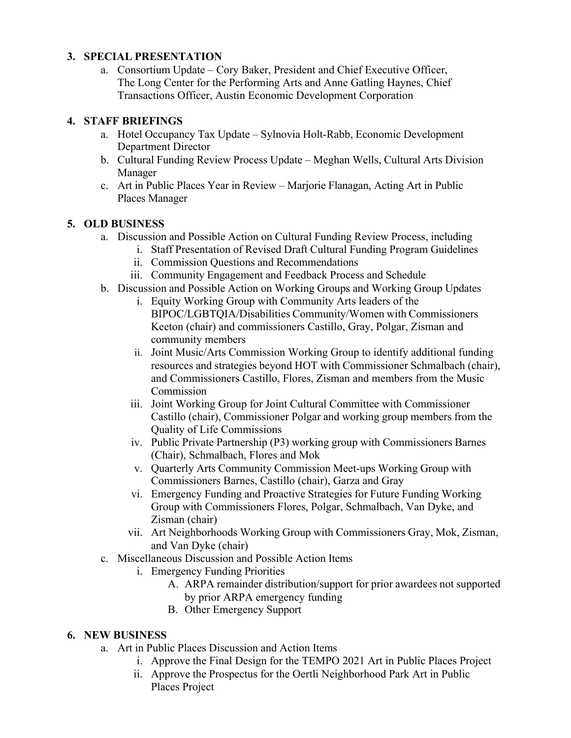#### **3. SPECIAL PRESENTATION**

a. Consortium Update – Cory Baker, President and Chief Executive Officer, The Long Center for the Performing Arts and Anne Gatling Haynes, Chief Transactions Officer, Austin Economic Development Corporation

#### **4. STAFF BRIEFINGS**

- a. Hotel Occupancy Tax Update Sylnovia Holt-Rabb, Economic Development Department Director
- b. Cultural Funding Review Process Update Meghan Wells, Cultural Arts Division Manager
- c. Art in Public Places Year in Review Marjorie Flanagan, Acting Art in Public Places Manager

## **5. OLD BUSINESS**

- a. Discussion and Possible Action on Cultural Funding Review Process, including
	- i. Staff Presentation of Revised Draft Cultural Funding Program Guidelines
	- ii. Commission Questions and Recommendations
	- iii. Community Engagement and Feedback Process and Schedule
- b. Discussion and Possible Action on Working Groups and Working Group Updates
	- i. Equity Working Group with Community Arts leaders of the BIPOC/LGBTQIA/Disabilities Community/Women with Commissioners Keeton (chair) and commissioners Castillo, Gray, Polgar, Zisman and community members
	- ii. Joint Music/Arts Commission Working Group to identify additional funding resources and strategies beyond HOT with Commissioner Schmalbach (chair), and Commissioners Castillo, Flores, Zisman and members from the Music Commission
	- iii. Joint Working Group for Joint Cultural Committee with Commissioner Castillo (chair), Commissioner Polgar and working group members from the Quality of Life Commissions
	- iv. Public Private Partnership (P3) working group with Commissioners Barnes (Chair), Schmalbach, Flores and Mok
	- v. Quarterly Arts Community Commission Meet-ups Working Group with Commissioners Barnes, Castillo (chair), Garza and Gray
	- vi. Emergency Funding and Proactive Strategies for Future Funding Working Group with Commissioners Flores, Polgar, Schmalbach, Van Dyke, and Zisman (chair)
	- vii. Art Neighborhoods Working Group with Commissioners Gray, Mok, Zisman, and Van Dyke (chair)
- c. Miscellaneous Discussion and Possible Action Items
	- i. Emergency Funding Priorities
		- A. ARPA remainder distribution/support for prior awardees not supported by prior ARPA emergency funding
		- B. Other Emergency Support

# **6. NEW BUSINESS**

- a. Art in Public Places Discussion and Action Items
	- i. Approve the Final Design for the TEMPO 2021 Art in Public Places Project
	- ii. Approve the Prospectus for the Oertli Neighborhood Park Art in Public Places Project